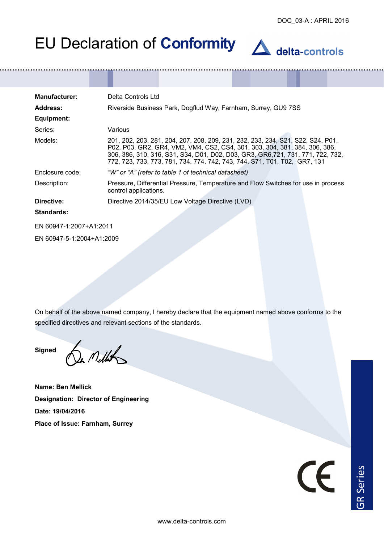| <b>Manufacturer:</b>    | Delta Controls Ltd                                                                                                                                                                                                                                                                                                            |
|-------------------------|-------------------------------------------------------------------------------------------------------------------------------------------------------------------------------------------------------------------------------------------------------------------------------------------------------------------------------|
| Address:                | Riverside Business Park, Dogflud Way, Farnham, Surrey, GU9 7SS                                                                                                                                                                                                                                                                |
| Equipment:              |                                                                                                                                                                                                                                                                                                                               |
| Series:                 | Various                                                                                                                                                                                                                                                                                                                       |
| Models:                 | 201, 202, 203, 281, 204, 207, 208, 209, 231, 232, 233, 234, S21, S22, S24, P01,<br>P02, P03, GR2, GR4, VM2, VM4, CS2, CS4, 301, 303, 304, 381, 384, 306, 386,<br>306, 386, 310, 316, S31, S34, D01, D02, D03, GR3, GR6, 721, 731, 771, 722, 732,<br>772, 723, 733, 773, 781, 734, 774, 742, 743, 744, S71, T01, T02, GR7, 131 |
| Enclosure code:         | "W" or "A" (refer to table 1 of technical datasheet)                                                                                                                                                                                                                                                                          |
| Description:            | Pressure, Differential Pressure, Temperature and Flow Switches for use in process<br>control applications.                                                                                                                                                                                                                    |
| Directive:              | Directive 2014/35/EU Low Voltage Directive (LVD)                                                                                                                                                                                                                                                                              |
| <b>Standards:</b>       |                                                                                                                                                                                                                                                                                                                               |
| EN 60947-1:2007+A1:2011 |                                                                                                                                                                                                                                                                                                                               |

EN 60947-5-1:2004+A1:2009

On behalf of the above named company, I hereby declare that the equipment named above conforms to the specified directives and relevant sections of the standards.

**Signed**

In Mellis

**Name: Ben Mellick Designation: Director of Engineering Date: 19/04/2016 Place of Issue: Farnham, Surrey**

CE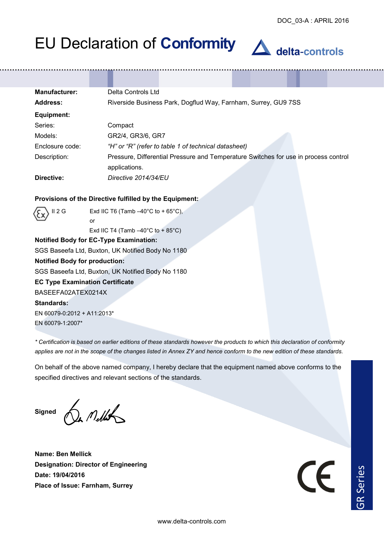### **Manufacturer:** Delta Controls Ltd **Address:** Riverside Business Park, Dogflud Way, Farnham, Surrey, GU9 7SS **Equipment:** Series: Compact Models: GR2/4, GR3/6, GR7 Enclosure code: *"H" or "R" (refer to table 1 of technical datasheet)* Description: Pressure, Differential Pressure and Temperature Switches for use in process control applications. **Directive:** *Directive 2014/34/EU*

### **Provisions of the Directive fulfilled by the Equipment:**

II 2 G Exd IIC T6 (Tamb  $-40^{\circ}$ C to + 65 $^{\circ}$ C), or

Exd IIC T4 (Tamb  $-40^{\circ}$ C to + 85 $^{\circ}$ C)

### **Notified Body for EC-Type Examination:**

SGS Baseefa Ltd, Buxton, UK Notified Body No 1180

#### **Notified Body for production:**

SGS Baseefa Ltd, Buxton, UK Notified Body No 1180

### **EC Type Examination Certificate**

BASEEFA02ATEX0214X

### **Standards:**

EN 60079-0:2012 + A11:2013\* EN 60079-1:2007\*

*\* Certification is based on earlier editions of these standards however the products to which this declaration of conformity applies are not in the scope of the changes listed in Annex ZY and hence conform to the new edition of these standards.*

On behalf of the above named company, I hereby declare that the equipment named above conforms to the specified directives and relevant sections of the standards.

**Signed**

In Mellits

**Name: Ben Mellick Designation: Director of Engineering Date: 19/04/2016 Place of Issue: Farnham, Surrey** 

 $\overline{\phantom{a}}$ 

R Series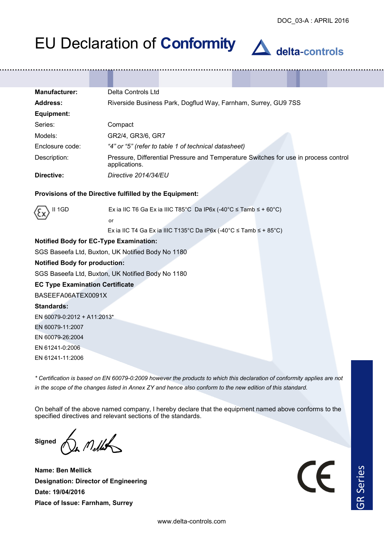| <b>Manufacturer:</b> | Delta Controls Ltd                                                                                   |
|----------------------|------------------------------------------------------------------------------------------------------|
| Address:             | Riverside Business Park, Dogflud Way, Farnham, Surrey, GU9 7SS                                       |
| Equipment:           |                                                                                                      |
| Series:              | Compact                                                                                              |
| Models:              | GR2/4, GR3/6, GR7                                                                                    |
| Enclosure code:      | "4" or "5" (refer to table 1 of technical datasheet)                                                 |
| Description:         | Pressure, Differential Pressure and Temperature Switches for use in process control<br>applications. |
| Directive:           | Directive 2014/34/EU                                                                                 |

#### **Provisions of the Directive fulfilled by the Equipment:**



II 1GD Ex ia IIC T6 Ga Ex ia IIIC T85°C Da IP6x (-40°C ≤ Tamb ≤ + 60°C) or

Ex ia IIC T4 Ga Ex ia IIIC T135°C Da IP6x (-40°C ≤ Tamb ≤ + 85°C)

### **Notified Body for EC-Type Examination:**

SGS Baseefa Ltd, Buxton, UK Notified Body No 1180

#### **Notified Body for production:**

SGS Baseefa Ltd, Buxton, UK Notified Body No 1180

#### **EC Type Examination Certificate**

BASEEFA06ATEX0091X

#### **Standards:**

EN 60079-0:2012 + A11:2013\*

EN 60079-11:2007

EN 60079-26:2004

EN 61241-0:2006

EN 61241-11:2006

*\* Certification is based on EN 60079-0:2009 however the products to which this declaration of conformity applies are not in the scope of the changes listed in Annex ZY and hence also conform to the new edition of this standard.*

On behalf of the above named company, I hereby declare that the equipment named above conforms to the specified directives and relevant sections of the standards.

**Signed** 

 $n$  Mellit

**Name: Ben Mellick Designation: Director of Engineering Date: 19/04/2016 Place of Issue: Farnham, Surrey** 

 $\epsilon$ 

R Series